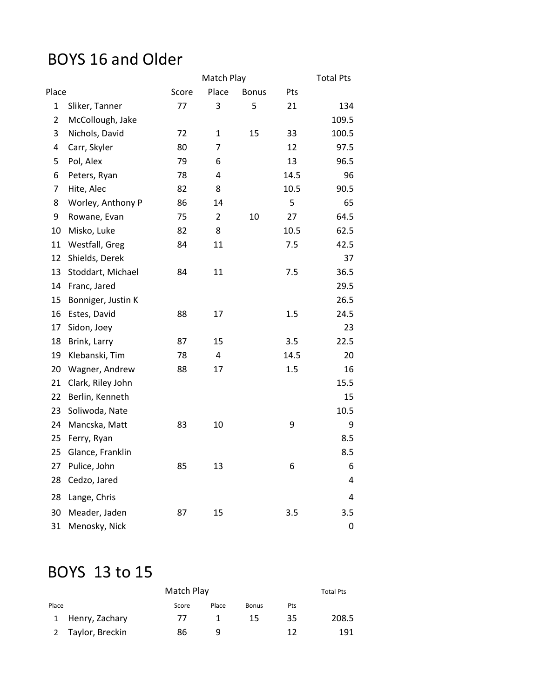### BOYS 16 and Older

|                |                    |       | Match Play              |              |      | <b>Total Pts</b> |
|----------------|--------------------|-------|-------------------------|--------------|------|------------------|
| Place          |                    | Score | Place                   | <b>Bonus</b> | Pts  |                  |
| $\mathbf 1$    | Sliker, Tanner     | 77    | 3                       | 5            | 21   | 134              |
| $\overline{2}$ | McCollough, Jake   |       |                         |              |      | 109.5            |
| 3              | Nichols, David     | 72    | $\mathbf{1}$            | 15           | 33   | 100.5            |
| 4              | Carr, Skyler       | 80    | 7                       |              | 12   | 97.5             |
| 5              | Pol, Alex          | 79    | 6                       |              | 13   | 96.5             |
| 6              | Peters, Ryan       | 78    | 4                       |              | 14.5 | 96               |
| $\overline{7}$ | Hite, Alec         | 82    | 8                       |              | 10.5 | 90.5             |
| 8              | Worley, Anthony P  | 86    | 14                      |              | 5    | 65               |
| 9              | Rowane, Evan       | 75    | $\overline{2}$          | 10           | 27   | 64.5             |
| 10             | Misko, Luke        | 82    | 8                       |              | 10.5 | 62.5             |
| 11             | Westfall, Greg     | 84    | 11                      |              | 7.5  | 42.5             |
| 12             | Shields, Derek     |       |                         |              |      | 37               |
| 13             | Stoddart, Michael  | 84    | 11                      |              | 7.5  | 36.5             |
| 14             | Franc, Jared       |       |                         |              |      | 29.5             |
| 15             | Bonniger, Justin K |       |                         |              |      | 26.5             |
| 16             | Estes, David       | 88    | 17                      |              | 1.5  | 24.5             |
| 17             | Sidon, Joey        |       |                         |              |      | 23               |
| 18             | Brink, Larry       | 87    | 15                      |              | 3.5  | 22.5             |
| 19             | Klebanski, Tim     | 78    | $\overline{\mathbf{4}}$ |              | 14.5 | 20               |
| 20             | Wagner, Andrew     | 88    | 17                      |              | 1.5  | 16               |
| 21             | Clark, Riley John  |       |                         |              |      | 15.5             |
| 22             | Berlin, Kenneth    |       |                         |              |      | 15               |
| 23             | Soliwoda, Nate     |       |                         |              |      | 10.5             |
| 24             | Mancska, Matt      | 83    | 10                      |              | 9    | 9                |
| 25             | Ferry, Ryan        |       |                         |              |      | 8.5              |
| 25             | Glance, Franklin   |       |                         |              |      | 8.5              |
| 27             | Pulice, John       | 85    | 13                      |              | 6    | 6                |
| 28             | Cedzo, Jared       |       |                         |              |      | 4                |
| 28             | Lange, Chris       |       |                         |              |      | 4                |
| 30             | Meader, Jaden      | 87    | 15                      |              | 3.5  | 3.5              |
| 31             | Menosky, Nick      |       |                         |              |      | $\pmb{0}$        |

## BOYS 13 to 15

| Match Play |                   |       |       |              |     | <b>Total Pts</b> |
|------------|-------------------|-------|-------|--------------|-----|------------------|
| Place      |                   | Score | Place | <b>Bonus</b> | Pts |                  |
|            | 1 Henry, Zachary  | -77   |       | 15           | 35  | 208.5            |
|            | 2 Taylor, Breckin | 86    | q     |              | 17  | 191              |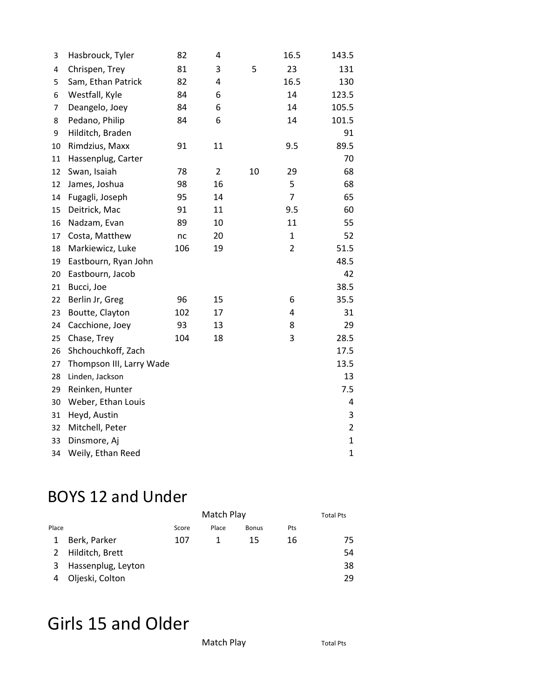| 3  | Hasbrouck, Tyler         | 82  | 4  |    | 16.5           | 143.5          |
|----|--------------------------|-----|----|----|----------------|----------------|
| 4  | Chrispen, Trey           | 81  | 3  | 5  | 23             | 131            |
| 5  | Sam, Ethan Patrick       | 82  | 4  |    | 16.5           | 130            |
| 6  | Westfall, Kyle           | 84  | 6  |    | 14             | 123.5          |
| 7  | Deangelo, Joey           | 84  | 6  |    | 14             | 105.5          |
| 8  | Pedano, Philip           | 84  | 6  |    | 14             | 101.5          |
| 9  | Hilditch, Braden         |     |    |    |                | 91             |
| 10 | Rimdzius, Maxx           | 91  | 11 |    | 9.5            | 89.5           |
| 11 | Hassenplug, Carter       |     |    |    |                | 70             |
| 12 | Swan, Isaiah             | 78  | 2  | 10 | 29             | 68             |
| 12 | James, Joshua            | 98  | 16 |    | 5              | 68             |
| 14 | Fugagli, Joseph          | 95  | 14 |    | $\overline{7}$ | 65             |
| 15 | Deitrick, Mac            | 91  | 11 |    | 9.5            | 60             |
| 16 | Nadzam, Evan             | 89  | 10 |    | 11             | 55             |
| 17 | Costa, Matthew           | nc  | 20 |    | $\mathbf{1}$   | 52             |
| 18 | Markiewicz, Luke         | 106 | 19 |    | $\overline{2}$ | 51.5           |
| 19 | Eastbourn, Ryan John     |     |    |    |                | 48.5           |
| 20 | Eastbourn, Jacob         |     |    |    |                | 42             |
| 21 | Bucci, Joe               |     |    |    |                | 38.5           |
| 22 | Berlin Jr, Greg          | 96  | 15 |    | 6              | 35.5           |
| 23 | Boutte, Clayton          | 102 | 17 |    | 4              | 31             |
| 24 | Cacchione, Joey          | 93  | 13 |    | 8              | 29             |
| 25 | Chase, Trey              | 104 | 18 |    | 3              | 28.5           |
| 26 | Shchouchkoff, Zach       |     |    |    |                | 17.5           |
| 27 | Thompson III, Larry Wade |     |    |    |                | 13.5           |
| 28 | Linden, Jackson          |     |    |    |                | 13             |
| 29 | Reinken, Hunter          |     |    |    |                | 7.5            |
| 30 | Weber, Ethan Louis       |     |    |    |                | 4              |
| 31 | Heyd, Austin             |     |    |    |                | 3              |
| 32 | Mitchell, Peter          |     |    |    |                | $\overline{2}$ |
| 33 | Dinsmore, Aj             |     |    |    |                | $\mathbf{1}$   |
| 34 | Weily, Ethan Reed        |     |    |    |                | $\mathbf 1$    |

### BOYS 12 and Under

|       |                    | Match Play |       |              |     | <b>Total Pts</b> |
|-------|--------------------|------------|-------|--------------|-----|------------------|
| Place |                    | Score      | Place | <b>Bonus</b> | Pts |                  |
| 1     | Berk, Parker       | 107        |       | 15           | 16  | 75               |
|       | 2 Hilditch, Brett  |            |       |              |     | 54               |
| 3     | Hassenplug, Leyton |            |       |              |     | 38               |
| 4     | Oljeski, Colton    |            |       |              |     | 29               |

# Girls 15 and Older